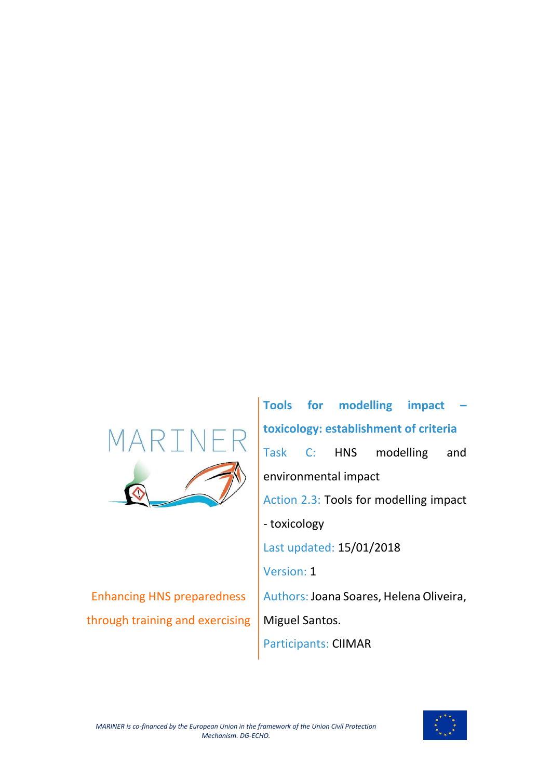

Enhancing HNS preparedness through training and exercising

**Tools for modelling impact – toxicology: establishment of criteria** Task C: HNS modelling and environmental impact Action 2.3: Tools for modelling impact - toxicology Last updated: 15/01/2018 Version: 1 Authors: Joana Soares, Helena Oliveira, Miguel Santos. Participants: CIIMAR

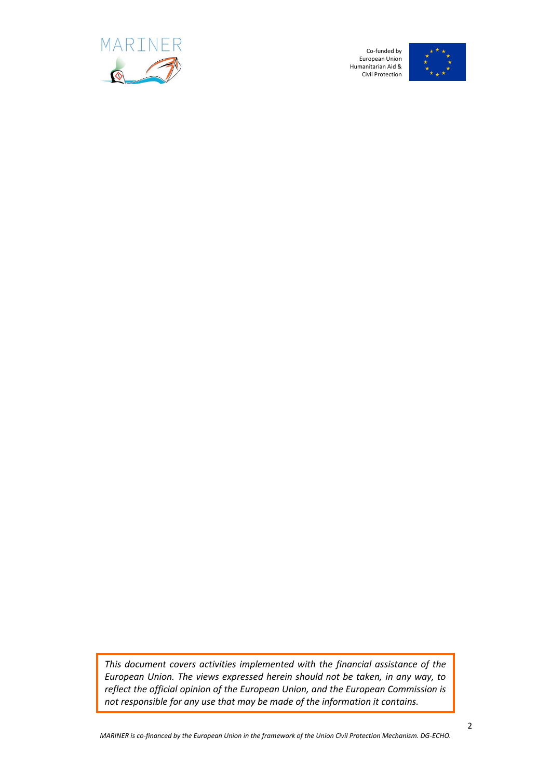



*This document covers activities implemented with the financial assistance of the European Union. The views expressed herein should not be taken, in any way, to reflect the official opinion of the European Union, and the European Commission is not responsible for any use that may be made of the information it contains.*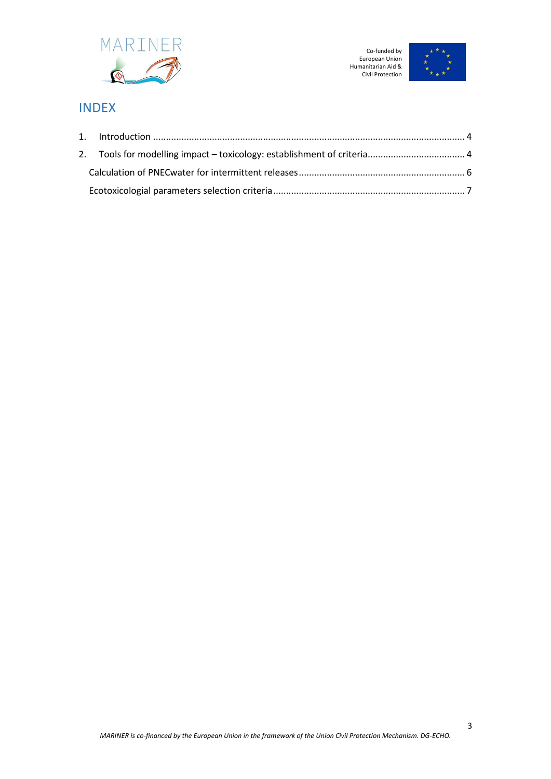



# INDEX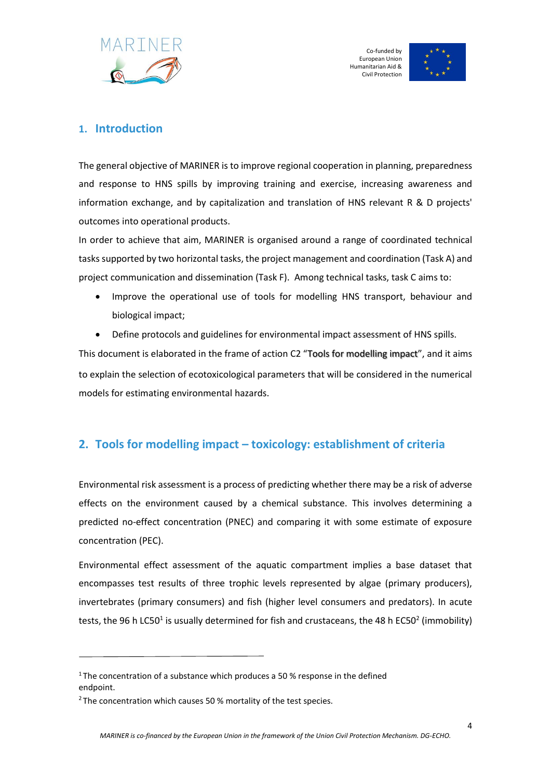



### <span id="page-3-0"></span>**1. Introduction**

The general objective of MARINER is to improve regional cooperation in planning, preparedness and response to HNS spills by improving training and exercise, increasing awareness and information exchange, and by capitalization and translation of HNS relevant R & D projects' outcomes into operational products.

In order to achieve that aim, MARINER is organised around a range of coordinated technical tasks supported by two horizontal tasks, the project management and coordination (Task A) and project communication and dissemination (Task F). Among technical tasks, task C aims to:

- Improve the operational use of tools for modelling HNS transport, behaviour and biological impact;
- Define protocols and guidelines for environmental impact assessment of HNS spills.

This document is elaborated in the frame of action C2 "Tools for modelling impact", and it aims to explain the selection of ecotoxicological parameters that will be considered in the numerical models for estimating environmental hazards.

## <span id="page-3-1"></span>**2. Tools for modelling impact – toxicology: establishment of criteria**

Environmental risk assessment is a process of predicting whether there may be a risk of adverse effects on the environment caused by a chemical substance. This involves determining a predicted no-effect concentration (PNEC) and comparing it with some estimate of exposure concentration (PEC).

Environmental effect assessment of the aquatic compartment implies a base dataset that encompasses test results of three trophic levels represented by algae (primary producers), invertebrates (primary consumers) and fish (higher level consumers and predators). In acute tests, the 96 h LC50<sup>1</sup> is usually determined for fish and crustaceans, the 48 h EC50<sup>2</sup> (immobility)

<sup>&</sup>lt;sup>1</sup>The concentration of a substance which produces a 50 % response in the defined endpoint.

 $2$  The concentration which causes 50 % mortality of the test species.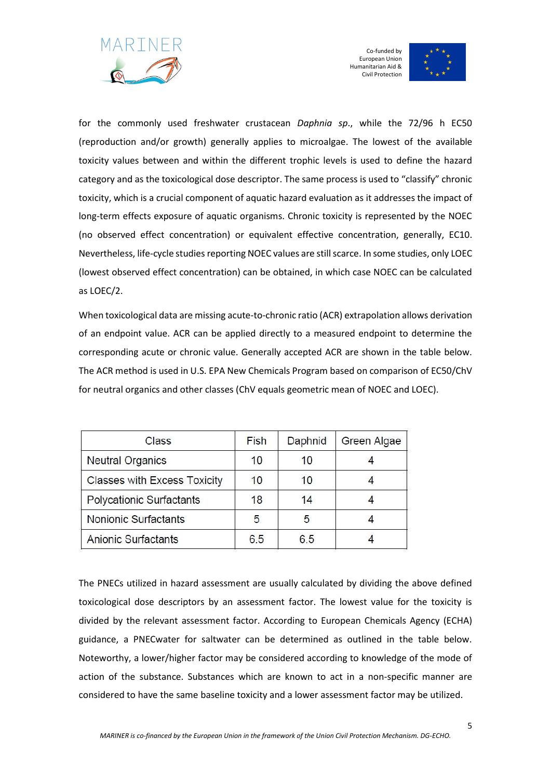



for the commonly used freshwater crustacean *Daphnia sp*., while the 72/96 h EC50 (reproduction and/or growth) generally applies to microalgae. The lowest of the available toxicity values between and within the different trophic levels is used to define the hazard category and as the toxicological dose descriptor. The same process is used to "classify" chronic toxicity, which is a crucial component of aquatic hazard evaluation as it addresses the impact of long-term effects exposure of aquatic organisms. Chronic toxicity is represented by the NOEC (no observed effect concentration) or equivalent effective concentration, generally, EC10. Nevertheless, life-cycle studies reporting NOEC values are still scarce. In some studies, only LOEC (lowest observed effect concentration) can be obtained, in which case NOEC can be calculated as LOEC/2.

When toxicological data are missing acute-to-chronic ratio (ACR) extrapolation allows derivation of an endpoint value. ACR can be applied directly to a measured endpoint to determine the corresponding acute or chronic value. Generally accepted ACR are shown in the table below. The ACR method is used in U.S. EPA New Chemicals Program based on comparison of EC50/ChV for neutral organics and other classes (ChV equals geometric mean of NOEC and LOEC).

| Class                               | Fish | Daphnid | Green Algae |
|-------------------------------------|------|---------|-------------|
| <b>Neutral Organics</b>             | 10   | 10      |             |
| <b>Classes with Excess Toxicity</b> | 10   | 10      |             |
| <b>Polycationic Surfactants</b>     | 18   | 14      |             |
| Nonionic Surfactants                | 5    | 5       |             |
| Anionic Surfactants                 | 6.5  | 6.5     |             |

The PNECs utilized in hazard assessment are usually calculated by dividing the above defined toxicological dose descriptors by an assessment factor. The lowest value for the toxicity is divided by the relevant assessment factor. According to European Chemicals Agency (ECHA) guidance, a PNECwater for saltwater can be determined as outlined in the table below. Noteworthy, a lower/higher factor may be considered according to knowledge of the mode of action of the substance. Substances which are known to act in a non-specific manner are considered to have the same baseline toxicity and a lower assessment factor may be utilized.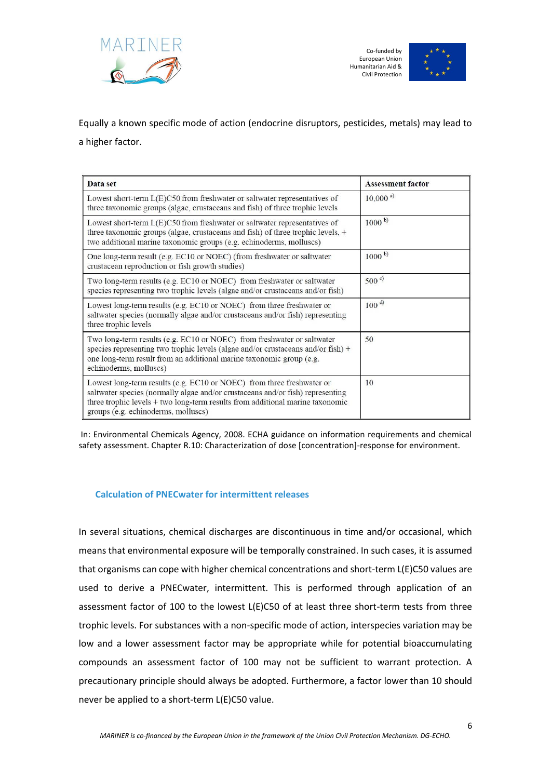



Equally a known specific mode of action (endocrine disruptors, pesticides, metals) may lead to a higher factor.

| Data set                                                                                                                                                                                                                                                                        | <b>Assessment factor</b> |
|---------------------------------------------------------------------------------------------------------------------------------------------------------------------------------------------------------------------------------------------------------------------------------|--------------------------|
| Lowest short-term $L(E)C50$ from freshwater or saltwater representatives of<br>three taxonomic groups (algae, crustaceans and fish) of three trophic levels                                                                                                                     | $10,000^{a}$             |
| Lowest short-term L(E)C50 from freshwater or saltwater representatives of<br>three taxonomic groups (algae, crustaceans and fish) of three trophic levels, +<br>two additional marine taxonomic groups (e.g. echinoderms, molluscs)                                             | $1000^{b}$               |
| One long-term result (e.g. EC10 or NOEC) (from freshwater or saltwater<br>crustacean reproduction or fish growth studies)                                                                                                                                                       | $1000^{b}$               |
| Two long-term results (e.g. EC10 or NOEC) from freshwater or saltwater<br>species representing two trophic levels (algae and/or crustaceans and/or fish)                                                                                                                        | $500^{\circ}$            |
| Lowest long-term results (e.g. EC10 or NOEC) from three freshwater or<br>saltwater species (normally algae and/or crustaceans and/or fish) representing<br>three trophic levels                                                                                                 | 100 <sup>d</sup>         |
| Two long-term results (e.g. EC10 or NOEC) from freshwater or saltwater<br>species representing two trophic levels (algae and/or crustaceans and/or fish) +<br>one long-term result from an additional marine taxonomic group (e.g.<br>echinoderms, molluscs)                    | 50                       |
| Lowest long-term results (e.g. EC10 or NOEC) from three freshwater or<br>saltwater species (normally algae and/or crustaceans and/or fish) representing<br>three trophic levels + two long-term results from additional marine taxonomic<br>groups (e.g. echinoderms, molluscs) | 10                       |

In: Environmental Chemicals Agency, 2008. ECHA guidance on information requirements and chemical safety assessment. Chapter R.10: Characterization of dose [concentration]-response for environment.

#### <span id="page-5-0"></span>**Calculation of PNECwater for intermittent releases**

In several situations, chemical discharges are discontinuous in time and/or occasional, which means that environmental exposure will be temporally constrained. In such cases, it is assumed that organisms can cope with higher chemical concentrations and short-term L(E)C50 values are used to derive a PNECwater, intermittent. This is performed through application of an assessment factor of 100 to the lowest L(E)C50 of at least three short-term tests from three trophic levels. For substances with a non-specific mode of action, interspecies variation may be low and a lower assessment factor may be appropriate while for potential bioaccumulating compounds an assessment factor of 100 may not be sufficient to warrant protection. A precautionary principle should always be adopted. Furthermore, a factor lower than 10 should never be applied to a short-term L(E)C50 value.